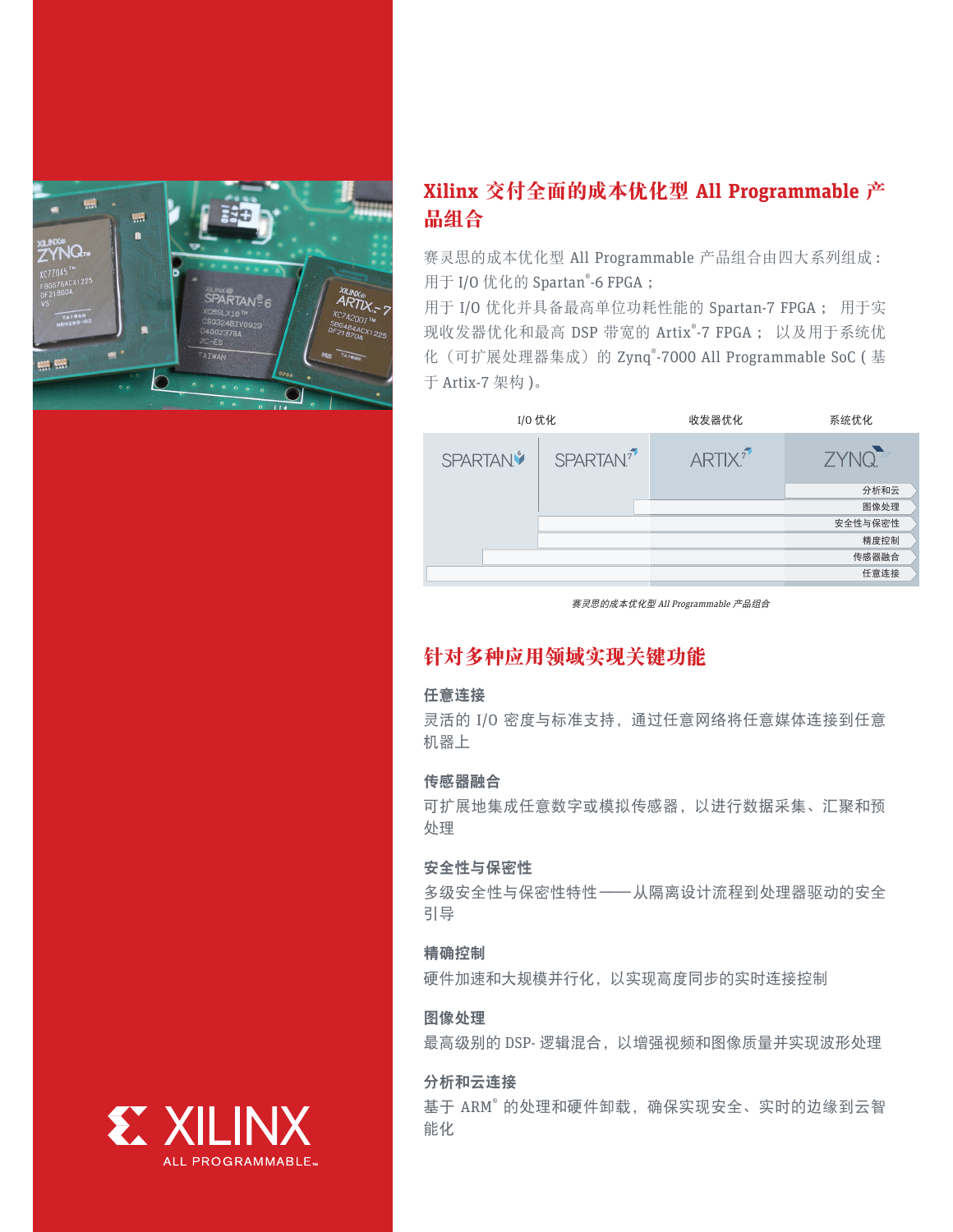

# **Xilinx** 交付全面的成本优化型 **All Programmable** 产 品组合

赛灵思的成本优化型 All Programmable 产品组合由四大系列组成: 用于 I/O 优化的 Spartan® -6 FPGA ;

用于 I/O 优化并具备最高单位功耗性能的 Spartan-7 FPGA ; 用于实 现收发器优化和最高 DSP 带宽的 Artix® -7 FPGA ; 以及用于系统优 化 (可扩展处理器集成) 的 Zynq®-7000 All Programmable SoC (基 于 Artix-7 架构 )。

| 分析和云              |
|-------------------|
| 图像处理              |
| 安全性与保密性           |
| 精度控制              |
| 传感器融合             |
| 任意连接              |
| ZYNQ <sup>-</sup> |

赛灵思的成本优化型 All Programmable 产品组合

## 针对多种应用领域实现关键功能

## 任意连接

灵活的 I/O 密度与标准支持,通过任意网络将任意媒体连接到任意 机器上

## 传感器融合

可扩展地集成任意数字或模拟传感器,以进行数据采集、汇聚和预 处理

### 安全性与保密性

多级安全性与保密性特性——从隔离设计流程到处理器驱动的安全 引导

## 精确控制

硬件加速和大规模并行化,以实现高度同步的实时连接控制

## 图像处理

最高级别的 DSP- 逻辑混合,以增强视频和图像质量并实现波形处理

## 分析和云连接

基于 ARM<sup>®</sup> 的处理和硬件卸载,确保实现安全、实时的边缘到云智 能化

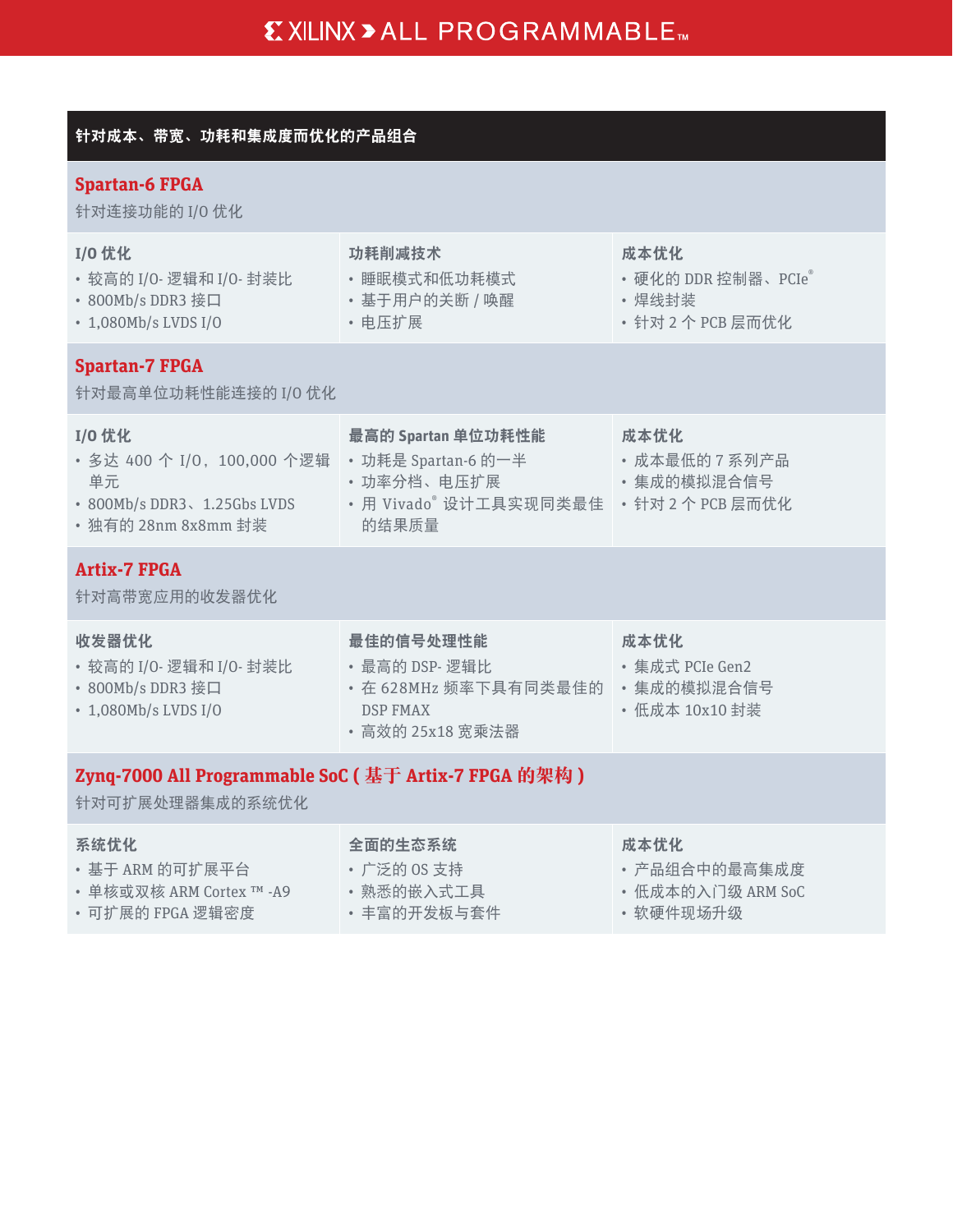## 针对成本、带宽、功耗和集成度而优化的产品组合

## **Spartan-6 FPGA**

针对连接功能的 I/O 优化

| <b>I/O 优化</b><br>· 较高的 I/O- 逻辑和 I/O- 封装比<br>• 800Mb/s DDR3 接口<br>• 1,080Mb/s LVDS I/O             | 功耗削减技术<br>• 睡眠模式和低功耗模式<br>• 基于用户的关断 / 唤醒<br>• 电压扩展                                          | 成本优化<br>• 硬化的 DDR 控制器、PCIe®<br>• 焊线封装<br>· 针对 2 个 PCB 层而优化 |  |
|---------------------------------------------------------------------------------------------------|---------------------------------------------------------------------------------------------|------------------------------------------------------------|--|
| <b>Spartan-7 FPGA</b><br>针对最高单位功耗性能连接的 I/O 优化                                                     |                                                                                             |                                                            |  |
| I/0 优化<br>· 多达 400 个 I/0, 100,000 个逻辑<br>单元<br>• 800Mb/s DDR3、1.25Gbs LVDS<br>• 独有的 28nm 8x8mm 封装 | 最高的 Spartan 单位功耗性能<br>• 功耗是 Spartan-6 的一半<br>• 功率分档、电压扩展<br>· 用 Vivado® 设计工具实现同类最佳<br>的结果质量 | 成本优化<br>• 成本最低的 7 系列产品<br>• 集成的模拟混合信号<br>· 针对 2 个 PCB 层而优化 |  |
| <b>Artix-7 FPGA</b><br>针对高带宽应用的收发器优化                                                              |                                                                                             |                                                            |  |
| 收发器优化<br>· 较高的 I/O- 逻辑和 I/O- 封装比<br>• 800Mb/s DDR3 接口<br>• 1,080Mb/s LVDS I/O                     | 最佳的信号处理性能<br>· 最高的 DSP-逻辑比<br>· 在 628MHz 频率下具有同类最佳的<br><b>DSP FMAX</b><br>· 高效的 25x18 宽乘法器  | 成本优化<br>• 集成式 PCIe Gen2<br>• 集成的模拟混合信号<br>· 低成本 10x10 封装   |  |
| Zynq-7000 All Programmable SoC ( 基于 Artix-7 FPGA 的架构 )<br>针对可扩展处理器集成的系统优化                         |                                                                                             |                                                            |  |
| 系统优化<br>• 基于 ARM 的可扩展平台<br>• 单核或双核 ARM Cortex TM -A9<br>· 可扩展的 FPGA 逻辑密度                          | 全面的生态系统<br>· 广泛的 OS 支持<br>• 熟悉的嵌入式工具<br>• 丰富的开发板与套件                                         | 成本优化<br>• 产品组合中的最高集成度<br>• 低成本的入门级 ARM SoC<br>• 软硬件现场升级    |  |